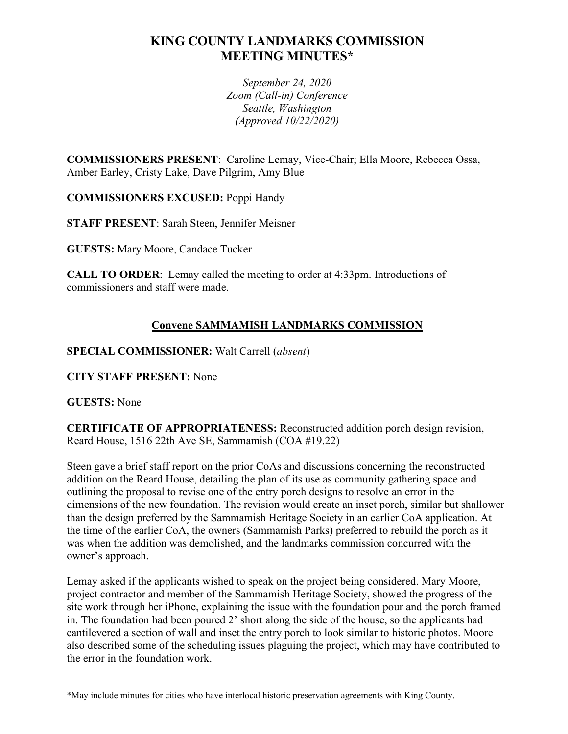# **KING COUNTY LANDMARKS COMMISSION MEETING MINUTES\***

*September 24, 2020 Zoom (Call-in) Conference Seattle, Washington (Approved 10/22/2020)*

**COMMISSIONERS PRESENT**: Caroline Lemay, Vice-Chair; Ella Moore, Rebecca Ossa, Amber Earley, Cristy Lake, Dave Pilgrim, Amy Blue

**COMMISSIONERS EXCUSED:** Poppi Handy

**STAFF PRESENT**: Sarah Steen, Jennifer Meisner

**GUESTS:** Mary Moore, Candace Tucker

**CALL TO ORDER**: Lemay called the meeting to order at 4:33pm. Introductions of commissioners and staff were made.

## **Convene SAMMAMISH LANDMARKS COMMISSION**

**SPECIAL COMMISSIONER:** Walt Carrell (*absent*)

**CITY STAFF PRESENT:** None

**GUESTS:** None

**CERTIFICATE OF APPROPRIATENESS:** Reconstructed addition porch design revision, Reard House, 1516 22th Ave SE, Sammamish (COA #19.22)

Steen gave a brief staff report on the prior CoAs and discussions concerning the reconstructed addition on the Reard House, detailing the plan of its use as community gathering space and outlining the proposal to revise one of the entry porch designs to resolve an error in the dimensions of the new foundation. The revision would create an inset porch, similar but shallower than the design preferred by the Sammamish Heritage Society in an earlier CoA application. At the time of the earlier CoA, the owners (Sammamish Parks) preferred to rebuild the porch as it was when the addition was demolished, and the landmarks commission concurred with the owner's approach.

Lemay asked if the applicants wished to speak on the project being considered. Mary Moore, project contractor and member of the Sammamish Heritage Society, showed the progress of the site work through her iPhone, explaining the issue with the foundation pour and the porch framed in. The foundation had been poured 2' short along the side of the house, so the applicants had cantilevered a section of wall and inset the entry porch to look similar to historic photos. Moore also described some of the scheduling issues plaguing the project, which may have contributed to the error in the foundation work.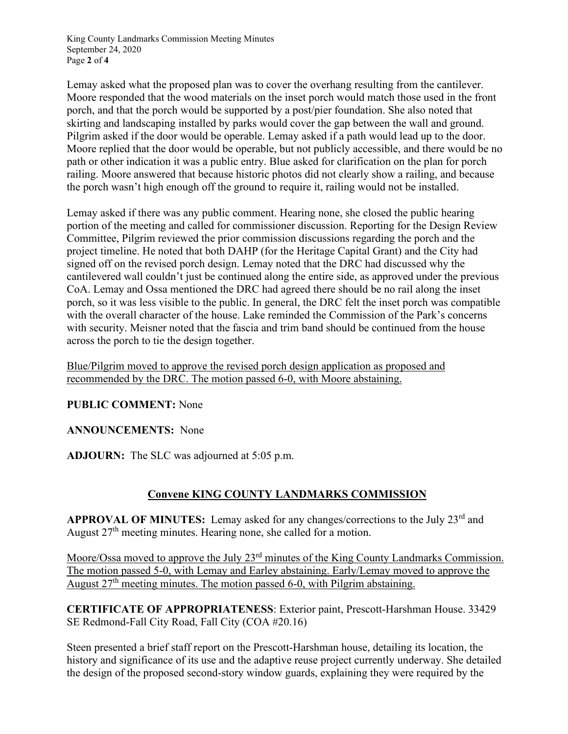King County Landmarks Commission Meeting Minutes September 24, 2020 Page **2** of **4**

Lemay asked what the proposed plan was to cover the overhang resulting from the cantilever. Moore responded that the wood materials on the inset porch would match those used in the front porch, and that the porch would be supported by a post/pier foundation. She also noted that skirting and landscaping installed by parks would cover the gap between the wall and ground. Pilgrim asked if the door would be operable. Lemay asked if a path would lead up to the door. Moore replied that the door would be operable, but not publicly accessible, and there would be no path or other indication it was a public entry. Blue asked for clarification on the plan for porch railing. Moore answered that because historic photos did not clearly show a railing, and because the porch wasn't high enough off the ground to require it, railing would not be installed.

Lemay asked if there was any public comment. Hearing none, she closed the public hearing portion of the meeting and called for commissioner discussion. Reporting for the Design Review Committee, Pilgrim reviewed the prior commission discussions regarding the porch and the project timeline. He noted that both DAHP (for the Heritage Capital Grant) and the City had signed off on the revised porch design. Lemay noted that the DRC had discussed why the cantilevered wall couldn't just be continued along the entire side, as approved under the previous CoA. Lemay and Ossa mentioned the DRC had agreed there should be no rail along the inset porch, so it was less visible to the public. In general, the DRC felt the inset porch was compatible with the overall character of the house. Lake reminded the Commission of the Park's concerns with security. Meisner noted that the fascia and trim band should be continued from the house across the porch to tie the design together.

Blue/Pilgrim moved to approve the revised porch design application as proposed and recommended by the DRC. The motion passed 6-0, with Moore abstaining.

### **PUBLIC COMMENT:** None

#### **ANNOUNCEMENTS:** None

**ADJOURN:** The SLC was adjourned at 5:05 p.m.

### **Convene KING COUNTY LANDMARKS COMMISSION**

**APPROVAL OF MINUTES:** Lemay asked for any changes/corrections to the July 23rd and August 27<sup>th</sup> meeting minutes. Hearing none, she called for a motion.

Moore/Ossa moved to approve the July 23<sup>rd</sup> minutes of the King County Landmarks Commission. The motion passed 5-0, with Lemay and Earley abstaining. Early/Lemay moved to approve the August  $27<sup>th</sup>$  meeting minutes. The motion passed 6-0, with Pilgrim abstaining.

**CERTIFICATE OF APPROPRIATENESS**: Exterior paint, Prescott-Harshman House. 33429 SE Redmond-Fall City Road, Fall City (COA #20.16)

Steen presented a brief staff report on the Prescott-Harshman house, detailing its location, the history and significance of its use and the adaptive reuse project currently underway. She detailed the design of the proposed second-story window guards, explaining they were required by the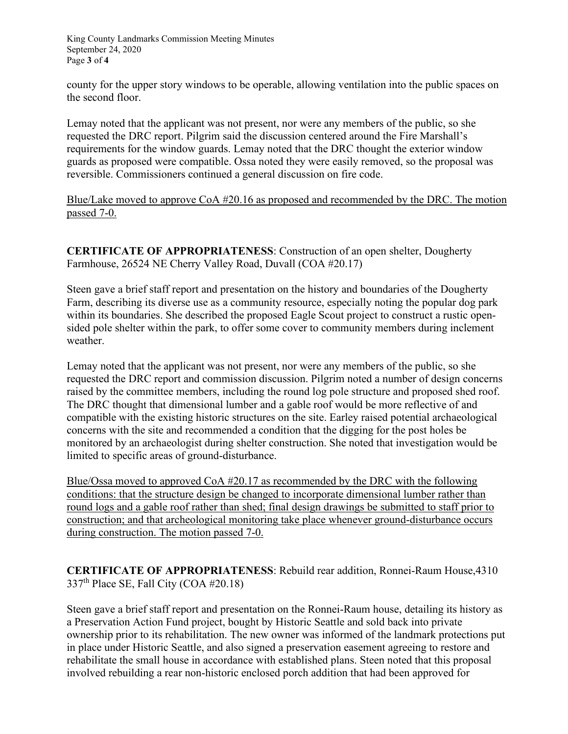King County Landmarks Commission Meeting Minutes September 24, 2020 Page **3** of **4**

county for the upper story windows to be operable, allowing ventilation into the public spaces on the second floor.

Lemay noted that the applicant was not present, nor were any members of the public, so she requested the DRC report. Pilgrim said the discussion centered around the Fire Marshall's requirements for the window guards. Lemay noted that the DRC thought the exterior window guards as proposed were compatible. Ossa noted they were easily removed, so the proposal was reversible. Commissioners continued a general discussion on fire code.

Blue/Lake moved to approve CoA #20.16 as proposed and recommended by the DRC. The motion passed 7-0.

**CERTIFICATE OF APPROPRIATENESS**: Construction of an open shelter, Dougherty Farmhouse, 26524 NE Cherry Valley Road, Duvall (COA #20.17)

Steen gave a brief staff report and presentation on the history and boundaries of the Dougherty Farm, describing its diverse use as a community resource, especially noting the popular dog park within its boundaries. She described the proposed Eagle Scout project to construct a rustic opensided pole shelter within the park, to offer some cover to community members during inclement weather.

Lemay noted that the applicant was not present, nor were any members of the public, so she requested the DRC report and commission discussion. Pilgrim noted a number of design concerns raised by the committee members, including the round log pole structure and proposed shed roof. The DRC thought that dimensional lumber and a gable roof would be more reflective of and compatible with the existing historic structures on the site. Earley raised potential archaeological concerns with the site and recommended a condition that the digging for the post holes be monitored by an archaeologist during shelter construction. She noted that investigation would be limited to specific areas of ground-disturbance.

Blue/Ossa moved to approved CoA #20.17 as recommended by the DRC with the following conditions: that the structure design be changed to incorporate dimensional lumber rather than round logs and a gable roof rather than shed; final design drawings be submitted to staff prior to construction; and that archeological monitoring take place whenever ground-disturbance occurs during construction. The motion passed 7-0.

**CERTIFICATE OF APPROPRIATENESS**: Rebuild rear addition, Ronnei-Raum House,4310  $337<sup>th</sup>$  Place SE, Fall City (COA #20.18)

Steen gave a brief staff report and presentation on the Ronnei-Raum house, detailing its history as a Preservation Action Fund project, bought by Historic Seattle and sold back into private ownership prior to its rehabilitation. The new owner was informed of the landmark protections put in place under Historic Seattle, and also signed a preservation easement agreeing to restore and rehabilitate the small house in accordance with established plans. Steen noted that this proposal involved rebuilding a rear non-historic enclosed porch addition that had been approved for